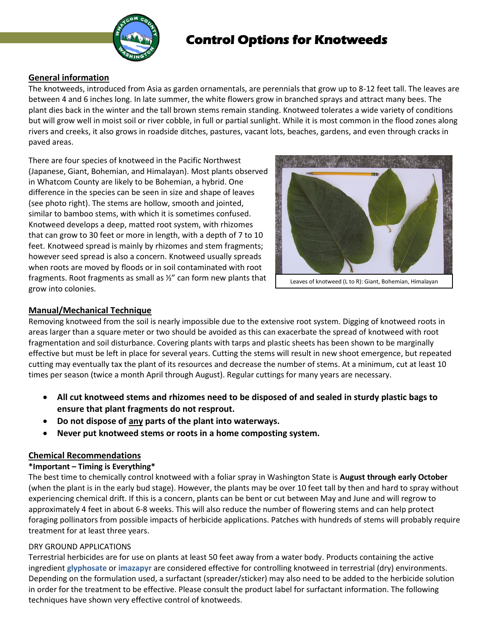

# **Control Options for Knotweeds**

# **General information**

The knotweeds, introduced from Asia as garden ornamentals, are perennials that grow up to 8-12 feet tall. The leaves are between 4 and 6 inches long. In late summer, the white flowers grow in branched sprays and attract many bees. The plant dies back in the winter and the tall brown stems remain standing. Knotweed tolerates a wide variety of conditions but will grow well in moist soil or river cobble, in full or partial sunlight. While it is most common in the flood zones along rivers and creeks, it also grows in roadside ditches, pastures, vacant lots, beaches, gardens, and even through cracks in paved areas.

There are four species of knotweed in the Pacific Northwest (Japanese, Giant, Bohemian, and Himalayan). Most plants observed in Whatcom County are likely to be Bohemian, a hybrid. One difference in the species can be seen in size and shape of leaves (see photo right). The stems are hollow, smooth and jointed, similar to bamboo stems, with which it is sometimes confused. Knotweed develops a deep, matted root system, with rhizomes that can grow to 30 feet or more in length, with a depth of 7 to 10 feet. Knotweed spread is mainly by rhizomes and stem fragments; however seed spread is also a concern. Knotweed usually spreads when roots are moved by floods or in soil contaminated with root fragments. Root fragments as small as ½" can form new plants that grow into colonies.



Leaves of knotweed (L to R): Giant, Bohemian, Himalayan

# **Manual/Mechanical Technique**

Removing knotweed from the soil is nearly impossible due to the extensive root system. Digging of knotweed roots in areas larger than a square meter or two should be avoided as this can exacerbate the spread of knotweed with root fragmentation and soil disturbance. Covering plants with tarps and plastic sheets has been shown to be marginally effective but must be left in place for several years. Cutting the stems will result in new shoot emergence, but repeated cutting may eventually tax the plant of its resources and decrease the number of stems. At a minimum, cut at least 10 times per season (twice a month April through August). Regular cuttings for many years are necessary.

- **All cut knotweed stems and rhizomes need to be disposed of and sealed in sturdy plastic bags to ensure that plant fragments do not resprout.**
- **Do not dispose of any parts of the plant into waterways.**
- **Never put knotweed stems or roots in a home composting system.**

# **Chemical Recommendations**

# **\*Important – Timing is Everything\***

The best time to chemically control knotweed with a foliar spray in Washington State is **August through early October** (when the plant is in the early bud stage). However, the plants may be over 10 feet tall by then and hard to spray without experiencing chemical drift. If this is a concern, plants can be bent or cut between May and June and will regrow to approximately 4 feet in about 6-8 weeks. This will also reduce the number of flowering stems and can help protect foraging pollinators from possible impacts of herbicide applications. Patches with hundreds of stems will probably require treatment for at least three years.

# DRY GROUND APPLICATIONS

Terrestrial herbicides are for use on plants at least 50 feet away from a water body. Products containing the active ingredient **glyphosate** or **imazapyr** are considered effective for controlling knotweed in terrestrial (dry) environments. Depending on the formulation used, a surfactant (spreader/sticker) may also need to be added to the herbicide solution in order for the treatment to be effective. Please consult the product label for surfactant information. The following techniques have shown very effective control of knotweeds.